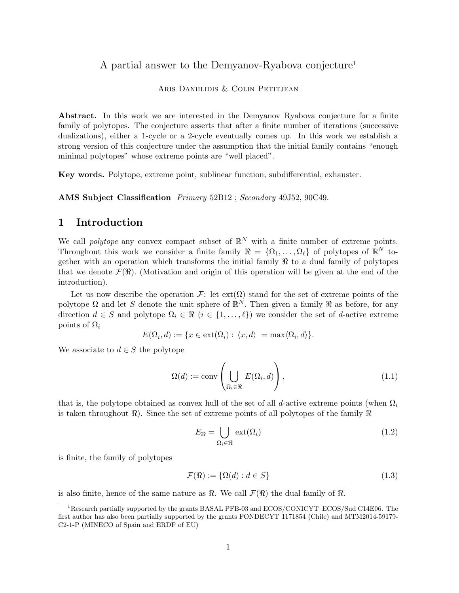## A partial answer to the Demyanov-Ryabova conjecture<sup>1</sup>

#### Aris Daniilidis & Colin Petitjean

Abstract. In this work we are interested in the Demyanov–Ryabova conjecture for a finite family of polytopes. The conjecture asserts that after a finite number of iterations (successive dualizations), either a 1-cycle or a 2-cycle eventually comes up. In this work we establish a strong version of this conjecture under the assumption that the initial family contains "enough minimal polytopes" whose extreme points are "well placed".

Key words. Polytope, extreme point, sublinear function, subdifferential, exhauster.

AMS Subject Classification Primary 52B12 ; Secondary 49J52, 90C49.

## 1 Introduction

We call *polytope* any convex compact subset of  $\mathbb{R}^N$  with a finite number of extreme points. Throughout this work we consider a finite family  $\mathcal{R} = {\Omega_1, \ldots, \Omega_\ell}$  of polytopes of  $\mathbb{R}^N$  together with an operation which transforms the initial family  $\Re$  to a dual family of polytopes that we denote  $\mathcal{F}(\mathcal{R})$ . (Motivation and origin of this operation will be given at the end of the introduction).

Let us now describe the operation F: let  $ext(\Omega)$  stand for the set of extreme points of the polytope  $\Omega$  and let S denote the unit sphere of  $\mathbb{R}^N$ . Then given a family  $\Re$  as before, for any direction  $d \in S$  and polytope  $\Omega_i \in \mathcal{R}$   $(i \in \{1, \ldots, \ell\})$  we consider the set of d-active extreme points of  $\Omega_i$ 

$$
E(\Omega_i, d) := \{ x \in \text{ext}(\Omega_i) : \langle x, d \rangle = \max \langle \Omega_i, d \rangle \}.
$$

We associate to  $d \in S$  the polytope

$$
\Omega(d) := \text{conv}\left(\bigcup_{\Omega_i \in \mathcal{R}} E(\Omega_i, d)\right),\tag{1.1}
$$

that is, the polytope obtained as convex hull of the set of all d-active extreme points (when  $\Omega_i$ is taken throughout  $\Re$ ). Since the set of extreme points of all polytopes of the family  $\Re$ 

$$
E_{\Re} = \bigcup_{\Omega_i \in \Re} \text{ext}(\Omega_i) \tag{1.2}
$$

is finite, the family of polytopes

$$
\mathcal{F}(\mathfrak{R}) := \{ \Omega(d) : d \in S \}
$$
\n
$$
(1.3)
$$

is also finite, hence of the same nature as  $\Re$ . We call  $\mathcal{F}(\Re)$  the dual family of  $\Re$ .

<sup>1</sup>Research partially supported by the grants BASAL PFB-03 and ECOS/CONICYT–ECOS/Sud C14E06. The first author has also been partially supported by the grants FONDECYT 1171854 (Chile) and MTM2014-59179- C2-1-P (MINECO of Spain and ERDF of EU)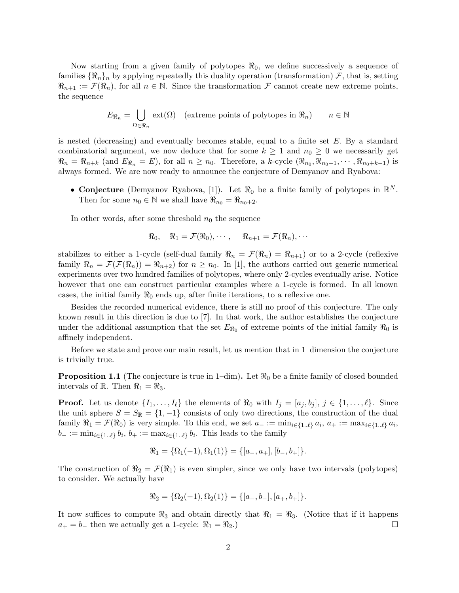Now starting from a given family of polytopes  $\Re_0$ , we define successively a sequence of families  $\{\Re_n\}_n$  by applying repeatedly this duality operation (transformation) F, that is, setting  $\mathbb{R}_{n+1} := \mathcal{F}(\mathbb{R}_n)$ , for all  $n \in \mathbb{N}$ . Since the transformation F cannot create new extreme points, the sequence

$$
E_{\Re_n} = \bigcup_{\Omega \in \Re_n} \text{ext}(\Omega) \quad \text{(extreme points of polytopes in } \Re_n\text{)} \qquad n \in \mathbb{N}
$$

is nested (decreasing) and eventually becomes stable, equal to a finite set E. By a standard combinatorial argument, we now deduce that for some  $k \geq 1$  and  $n_0 \geq 0$  we necessarily get  $\Re_n = \Re_{n+k}$  (and  $E_{\Re_n} = E$ ), for all  $n \geq n_0$ . Therefore, a k-cycle  $(\Re_{n_0}, \Re_{n_0+1}, \cdots, \Re_{n_0+k-1})$  is always formed. We are now ready to announce the conjecture of Demyanov and Ryabova:

• Conjecture (Demyanov–Ryabova, [1]). Let  $\Re_0$  be a finite family of polytopes in  $\mathbb{R}^N$ . Then for some  $n_0 \in \mathbb{N}$  we shall have  $\Re_{n_0} = \Re_{n_0+2}$ .

In other words, after some threshold  $n_0$  the sequence

$$
\Re_0
$$
,  $\Re_1 = \mathcal{F}(\Re_0), \cdots$ ,  $\Re_{n+1} = \mathcal{F}(\Re_n), \cdots$ 

stabilizes to either a 1-cycle (self-dual family  $\Re_n = \mathcal{F}(\Re_n) = \Re_{n+1}$ ) or to a 2-cycle (reflexive family  $\Re_n = \mathcal{F}(\mathcal{F}(\Re_n)) = \Re_{n+2}$  for  $n \geq n_0$ . In [1], the authors carried out generic numerical experiments over two hundred families of polytopes, where only 2-cycles eventually arise. Notice however that one can construct particular examples where a 1-cycle is formed. In all known cases, the initial family  $\Re_0$  ends up, after finite iterations, to a reflexive one.

Besides the recorded numerical evidence, there is still no proof of this conjecture. The only known result in this direction is due to [7]. In that work, the author establishes the conjecture under the additional assumption that the set  $E_{\Re_0}$  of extreme points of the initial family  $\Re_0$  is affinely independent.

Before we state and prove our main result, let us mention that in 1–dimension the conjecture is trivially true.

**Proposition 1.1** (The conjecture is true in 1–dim). Let  $\Re_0$  be a finite family of closed bounded intervals of R. Then  $\Re_1 = \Re_3$ .

**Proof.** Let us denote  $\{I_1, \ldots, I_\ell\}$  the elements of  $\Re_0$  with  $I_j = [a_j, b_j], j \in \{1, \ldots, \ell\}$ . Since the unit sphere  $S = S_{\mathbb{R}} = \{1, -1\}$  consists of only two directions, the construction of the dual family  $\Re_1 = \mathcal{F}(\Re_0)$  is very simple. To this end, we set  $a_- := \min_{i \in \{1...\ell\}} a_i, a_+ := \max_{i \in \{1...\ell\}} a_i$ ,  $b_- := \min_{i \in \{1..\ell\}} b_i, b_+ := \max_{i \in \{1..\ell\}} b_i.$  This leads to the family

$$
\mathfrak{R}_1 = \{ \Omega_1(-1), \Omega_1(1) \} = \{ [a_-, a_+] , [b_-, b_+] \}.
$$

The construction of  $\Re_2 = \mathcal{F}(\Re_1)$  is even simpler, since we only have two intervals (polytopes) to consider. We actually have

$$
\Re_2 = \{ \Omega_2(-1), \Omega_2(1) \} = \{ [a_-, b_-], [a_+, b_+] \}.
$$

It now suffices to compute  $\Re_3$  and obtain directly that  $\Re_1 = \Re_3$ . (Notice that if it happens  $a_+ = b_-$  then we actually get a 1-cycle:  $\Re_1 = \Re_2$ .)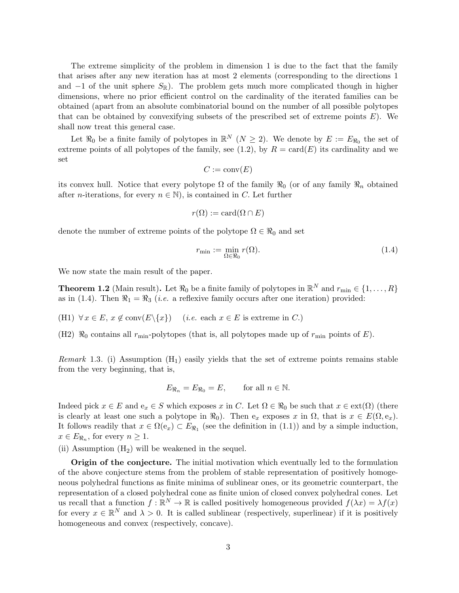The extreme simplicity of the problem in dimension 1 is due to the fact that the family that arises after any new iteration has at most 2 elements (corresponding to the directions 1 and  $-1$  of the unit sphere  $S_{\mathbb{R}}$ ). The problem gets much more complicated though in higher dimensions, where no prior efficient control on the cardinality of the iterated families can be obtained (apart from an absolute combinatorial bound on the number of all possible polytopes that can be obtained by convexifying subsets of the prescribed set of extreme points  $E$ ). We shall now treat this general case.

Let  $\Re_0$  be a finite family of polytopes in  $\mathbb{R}^N$  ( $N \geq 2$ ). We denote by  $E := E_{\Re_0}$  the set of extreme points of all polytopes of the family, see (1.2), by  $R = \text{card}(E)$  its cardinality and we set

$$
C := \operatorname{conv}(E)
$$

its convex hull. Notice that every polytope  $\Omega$  of the family  $\Re_0$  (or of any family  $\Re_n$  obtained after *n*-iterations, for every  $n \in \mathbb{N}$ , is contained in C. Let further

$$
r(\Omega) := \operatorname{card}(\Omega \cap E)
$$

denote the number of extreme points of the polytope  $\Omega \in \mathcal{R}_0$  and set

$$
r_{\min} := \min_{\Omega \in \mathfrak{R}_0} r(\Omega). \tag{1.4}
$$

We now state the main result of the paper.

**Theorem 1.2** (Main result). Let  $\Re_0$  be a finite family of polytopes in  $\mathbb{R}^N$  and  $r_{\min} \in \{1, \ldots, R\}$ as in (1.4). Then  $\Re_1 = \Re_3$  (*i.e.* a reflexive family occurs after one iteration) provided:

(H1)  $\forall x \in E$ ,  $x \notin \text{conv}(E \setminus \{x\})$  (*i.e.* each  $x \in E$  is extreme in C.)

(H2)  $\Re_0$  contains all  $r_{\rm min}$ -polytopes (that is, all polytopes made up of  $r_{\rm min}$  points of E).

*Remark* 1.3. (i) Assumption  $(H_1)$  easily yields that the set of extreme points remains stable from the very beginning, that is,

$$
E_{\Re_n} = E_{\Re_0} = E, \qquad \text{for all } n \in \mathbb{N}.
$$

Indeed pick  $x \in E$  and  $e_x \in S$  which exposes x in C. Let  $\Omega \in \mathcal{R}_0$  be such that  $x \in \text{ext}(\Omega)$  (there is clearly at least one such a polytope in  $\Re_0$ ). Then  $e_x$  exposes x in  $\Omega$ , that is  $x \in E(\Omega, e_x)$ . It follows readily that  $x \in \Omega(e_x) \subset E_{\Re_1}$  (see the definition in (1.1)) and by a simple induction,  $x \in E_{\Re_n}$ , for every  $n \geq 1$ .

(ii) Assumption  $(H_2)$  will be weakened in the sequel.

Origin of the conjecture. The initial motivation which eventually led to the formulation of the above conjecture stems from the problem of stable representation of positively homogeneous polyhedral functions as finite minima of sublinear ones, or its geometric counterpart, the representation of a closed polyhedral cone as finite union of closed convex polyhedral cones. Let us recall that a function  $f : \mathbb{R}^N \to \mathbb{R}$  is called positively homogeneous provided  $f(\lambda x) = \lambda f(x)$ for every  $x \in \mathbb{R}^N$  and  $\lambda > 0$ . It is called sublinear (respectively, superlinear) if it is positively homogeneous and convex (respectively, concave).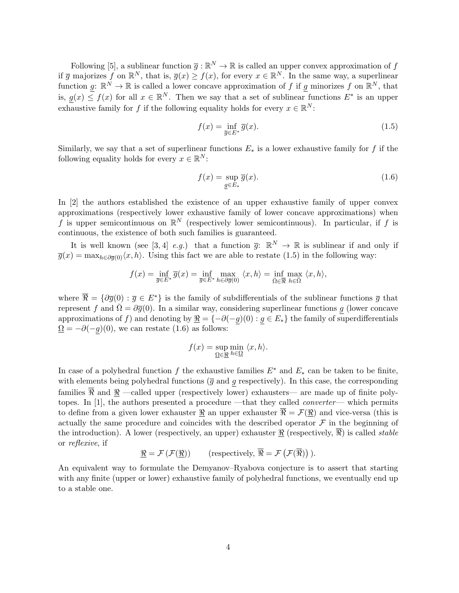Following [5], a sublinear function  $\bar{g} : \mathbb{R}^N \to \mathbb{R}$  is called an upper convex approximation of f if  $\overline{g}$  majorizes f on  $\mathbb{R}^N$ , that is,  $\overline{g}(x) \ge f(x)$ , for every  $x \in \mathbb{R}^N$ . In the same way, a superlinear function g:  $\mathbb{R}^N \to \mathbb{R}$  is called a lower concave approximation of f if g minorizes f on  $\mathbb{R}^N$ , that is,  $g(x) \leq f(x)$  for all  $x \in \mathbb{R}^N$ . Then we say that a set of sublinear functions  $E^*$  is an upper exhaustive family for f if the following equality holds for every  $x \in \mathbb{R}^N$ :

$$
f(x) = \inf_{\overline{g} \in E^*} \overline{g}(x).
$$
\n(1.5)

Similarly, we say that a set of superlinear functions  $E_*$  is a lower exhaustive family for f if the following equality holds for every  $x \in \mathbb{R}^N$ :

$$
f(x) = \sup_{\underline{g} \in E_*} \overline{g}(x). \tag{1.6}
$$

In [2] the authors established the existence of an upper exhaustive family of upper convex approximations (respectively lower exhaustive family of lower concave approximations) when f is upper semicontinuous on  $\mathbb{R}^N$  (respectively lower semicontinuous). In particular, if f is continuous, the existence of both such families is guaranteed.

It is well known (see [3, 4] e.g.) that a function  $\overline{g}$ :  $\mathbb{R}^N \to \mathbb{R}$  is sublinear if and only if  $\overline{g}(x) = \max_{h \in \partial \overline{g}(0)} \langle x, h \rangle$ . Using this fact we are able to restate (1.5) in the following way:

$$
f(x) = \inf_{\overline{g} \in E^*} \overline{g}(x) = \inf_{\overline{g} \in E^*} \max_{h \in \partial \overline{g}(0)} \langle x, h \rangle = \inf_{\overline{\Omega} \in \overline{\mathfrak{R}}} \max_{h \in \overline{\Omega}} \langle x, h \rangle,
$$

where  $\overline{\Re} = {\partial \overline{g}(0) : \overline{g} \in E^*}$  is the family of subdifferentials of the sublinear functions  $\overline{g}$  that represent f and  $\overline{\Omega} = \partial \overline{g}(0)$ . In a similar way, considering superlinear functions g (lower concave approximations of f) and denoting by  $\mathcal{R} = \{-\partial(-g)(0) : g \in E_*\}$  the family of superdifferentials  $\Omega = -\partial(-g)(0)$ , we can restate (1.6) as follows:

$$
f(x) = \sup_{\Omega \in \mathfrak{D}} \min_{h \in \Omega} \langle x, h \rangle.
$$

In case of a polyhedral function f the exhaustive families  $E^*$  and  $E_*$  can be taken to be finite, with elements being polyhedral functions  $(\bar{g}$  and g respectively). In this case, the corresponding families  $\overline{\Re}$  and  $\Re$  —called upper (respectively lower) exhausters— are made up of finite polytopes. In [1], the authors presented a procedure —that they called converter— which permits to define from a given lower exhauster  $\Re$  an upper exhauster  $\overline{\Re} = \mathcal{F}(\Re)$  and vice-versa (this is actually the same procedure and coincides with the described operator  $\mathcal F$  in the beginning of the introduction). A lower (respectively, an upper) exhauster  $\Re$  (respectively,  $\Re$ ) is called *stable* or reflexive, if

$$
\underline{\Re} = \mathcal{F}(\mathcal{F}(\underline{\Re})) \qquad \text{(respectively, } \overline{\Re} = \mathcal{F}(\mathcal{F}(\overline{\Re})))\text{.}
$$

An equivalent way to formulate the Demyanov–Ryabova conjecture is to assert that starting with any finite (upper or lower) exhaustive family of polyhedral functions, we eventually end up to a stable one.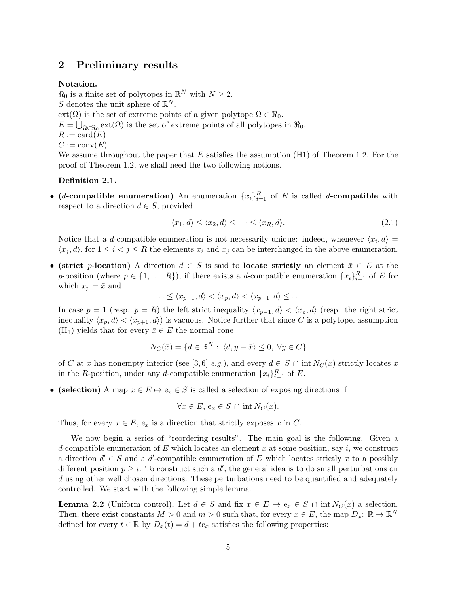# 2 Preliminary results

### Notation.

 $\Re_0$  is a finite set of polytopes in  $\mathbb{R}^N$  with  $N \geq 2$ . S denotes the unit sphere of  $\mathbb{R}^N$ .  $ext(\Omega)$  is the set of extreme points of a given polytope  $\Omega \in \mathbb{R}_0$ .  $E = \bigcup_{\Omega \in \Re_0} \text{ext}(\Omega)$  is the set of extreme points of all polytopes in  $\Re_0$ .  $R := \text{card}(E)$  $C := \text{conv}(E)$ We assume throughout the paper that  $E$  satisfies the assumption (H1) of Theorem 1.2. For the

proof of Theorem 1.2, we shall need the two following notions.

### Definition 2.1.

• (*d*-compatible enumeration) An enumeration  $\{x_i\}_{i=1}^R$  of E is called *d*-compatible with respect to a direction  $d \in S$ , provided

$$
\langle x_1, d \rangle \le \langle x_2, d \rangle \le \dots \le \langle x_R, d \rangle. \tag{2.1}
$$

Notice that a d-compatible enumeration is not necessarily unique: indeed, whenever  $\langle x_i, d \rangle =$  $\langle x_j, d \rangle$ , for  $1 \leq i < j \leq R$  the elements  $x_i$  and  $x_j$  can be interchanged in the above enumeration.

• (strict p-location) A direction  $d \in S$  is said to locate strictly an element  $\bar{x} \in E$  at the p-position (where  $p \in \{1, ..., R\}$ ), if there exists a *d*-compatible enumeration  $\{x_i\}_{i=1}^R$  of E for which  $x_p = \bar{x}$  and

$$
\ldots \leq \langle x_{p-1}, d \rangle < \langle x_p, d \rangle < \langle x_{p+1}, d \rangle \leq \ldots
$$

In case  $p = 1$  (resp.  $p = R$ ) the left strict inequality  $\langle x_{p-1}, d \rangle < \langle x_p, d \rangle$  (resp. the right strict inequality  $\langle x_p, d \rangle < \langle x_{p+1}, d \rangle$  is vacuous. Notice further that since C is a polytope, assumption  $(H_1)$  yields that for every  $\bar{x} \in E$  the normal cone

$$
N_C(\bar{x}) = \{ d \in \mathbb{R}^N : \langle d, y - \bar{x} \rangle \le 0, \ \forall y \in C \}
$$

of C at  $\bar{x}$  has nonempty interior (see [3,6] e.g.), and every  $d \in S \cap \text{int } N_C(\bar{x})$  strictly locates  $\bar{x}$ in the R-position, under any d-compatible enumeration  $\{x_i\}_{i=1}^R$  of E.

• (selection) A map  $x \in E \mapsto e_x \in S$  is called a selection of exposing directions if

$$
\forall x \in E, \, \mathbf{e}_x \in S \cap \text{int } N_C(x).
$$

Thus, for every  $x \in E$ ,  $e_x$  is a direction that strictly exposes x in C.

We now begin a series of "reordering results". The main goal is the following. Given a d-compatible enumeration of  $E$  which locates an element  $x$  at some position, say  $i$ , we construct a direction  $d' \in S$  and a  $d'$ -compatible enumeration of E which locates strictly x to a possibly different position  $p \geq i$ . To construct such a d', the general idea is to do small perturbations on d using other well chosen directions. These perturbations need to be quantified and adequately controlled. We start with the following simple lemma.

**Lemma 2.2** (Uniform control). Let  $d \in S$  and fix  $x \in E \mapsto e_x \in S \cap \text{int } N_C(x)$  a selection. Then, there exist constants  $M > 0$  and  $m > 0$  such that, for every  $x \in E$ , the map  $D_x: \mathbb{R} \to \mathbb{R}^N$ defined for every  $t \in \mathbb{R}$  by  $D_x(t) = d + te_x$  satisfies the following properties: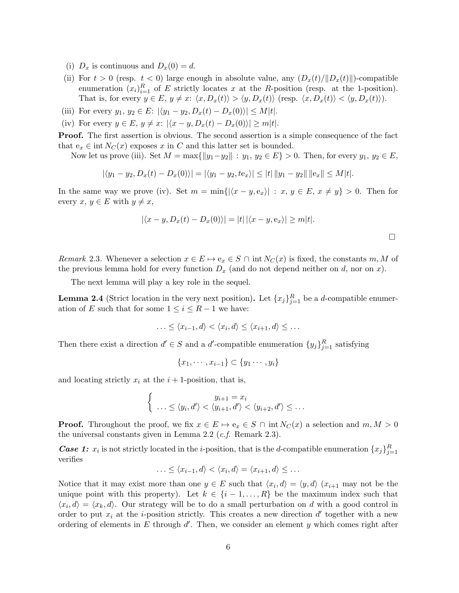- (i)  $D_x$  is continuous and  $D_x(0) = d$ .
- (ii) For  $t > 0$  (resp.  $t < 0$ ) large enough in absolute value, any  $(D_x(t)/||D_x(t)||)$ -compatible enumeration  $(x_i)_{i=1}^R$  of E strictly locates x at the R-position (resp. at the 1-position). That is, for every  $y \in E$ ,  $y \neq x$ :  $\langle x, D_x(t) \rangle > \langle y, D_x(t) \rangle$  (resp.  $\langle x, D_x(t) \rangle < \langle y, D_x(t) \rangle$ ).
- (iii) For every  $y_1, y_2 \in E: |\langle y_1 y_2, D_x(t) D_x(0) \rangle| \le M|t|$ .
- (iv) For every  $y \in E$ ,  $y \neq x$ :  $|\langle x y, D_x(t) D_x(0) \rangle| \geq m|t|$ .

Proof. The first assertion is obvious. The second assertion is a simple consequence of the fact that  $e_x \in \text{int } N_C(x)$  exposes x in C and this latter set is bounded.

Now let us prove (iii). Set  $M = \max{\{|y_1-y_2\| : y_1, y_2 \in E\}} > 0$ . Then, for every  $y_1, y_2 \in E$ ,

$$
|\langle y_1 - y_2, D_x(t) - D_x(0) \rangle| = |\langle y_1 - y_2, te_x \rangle| \le |t| \|y_1 - y_2\| \|e_x\| \le M|t|.
$$

In the same way we prove (iv). Set  $m = \min\{|\langle x - y, e_x\rangle| : x, y \in E, x \neq y\} > 0$ . Then for every  $x, y \in E$  with  $y \neq x$ ,

$$
|\langle x-y, D_x(t) - D_x(0)\rangle| = |t| |\langle x-y, e_x \rangle| \ge m|t|.
$$

Remark 2.3. Whenever a selection  $x \in E \mapsto e_x \in S \cap \text{int } N_C(x)$  is fixed, the constants m, M of the previous lemma hold for every function  $D_x$  (and do not depend neither on d, nor on x).

The next lemma will play a key role in the sequel.

**Lemma 2.4** (Strict location in the very next position). Let  $\{x_j\}_{j=1}^R$  be a *d*-compatible enumeration of E such that for some  $1 \leq i \leq R-1$  we have:

$$
\ldots \leq \langle x_{i-1}, d \rangle < \langle x_i, d \rangle \leq \langle x_{i+1}, d \rangle \leq \ldots
$$

Then there exist a direction  $d' \in S$  and a  $d'$ -compatible enumeration  $\{y_j\}_{j=1}^R$  satisfying

$$
\{x_1, \cdots, x_{i-1}\} \subset \{y_1 \cdots, y_i\}
$$

and locating strictly  $x_i$  at the  $i + 1$ -position, that is,

$$
\begin{cases}\n y_{i+1} = x_i \\
 \ldots \le \langle y_i, d' \rangle < \langle y_{i+1}, d' \rangle < \langle y_{i+2}, d' \rangle \le \ldots\n\end{cases}
$$

**Proof.** Throughout the proof, we fix  $x \in E \mapsto e_x \in S \cap \text{int } N_C(x)$  a selection and  $m, M > 0$ the universal constants given in Lemma 2.2 (*c.f.* Remark 2.3).

**Case 1:**  $x_i$  is not strictly located in the *i*-position, that is the *d*-compatible enumeration  $\{x_j\}_{j=1}^R$ verifies

$$
\ldots \leq \langle x_{i-1}, d \rangle < \langle x_i, d \rangle = \langle x_{i+1}, d \rangle \leq \ldots
$$

Notice that it may exist more than one  $y \in E$  such that  $\langle x_i, d \rangle = \langle y, d \rangle$   $(x_{i+1}$  may not be the unique point with this property). Let  $k \in \{i-1,\ldots,R\}$  be the maximum index such that  $\langle x_i, d \rangle = \langle x_k, d \rangle$ . Our strategy will be to do a small perturbation on d with a good control in order to put  $x_i$  at the *i*-position strictly. This creates a new direction  $d'$  together with a new ordering of elements in  $E$  through  $d'$ . Then, we consider an element  $y$  which comes right after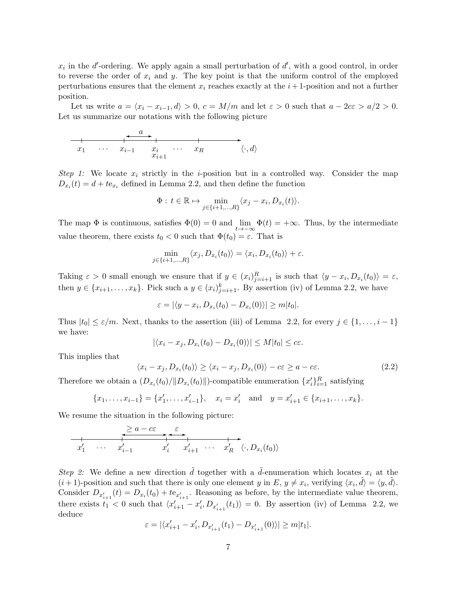$x_i$  in the d'-ordering. We apply again a small perturbation of d', with a good control, in order to reverse the order of  $x_i$  and y. The key point is that the uniform control of the employed perturbations ensures that the element  $x_i$  reaches exactly at the  $i+1$ -position and not a further position.

Let us write  $a = \langle x_i - x_{i-1}, d \rangle > 0$ ,  $c = M/m$  and let  $\varepsilon > 0$  such that  $a - 2c\varepsilon > a/2 > 0$ . Let us summarize our notations with the following picture

✲ x<sup>1</sup> · · · xi−<sup>1</sup> x<sup>i</sup> h·, di xi+1 · · · x<sup>R</sup> ✛ a✲

Step 1: We locate  $x_i$  strictly in the *i*-position but in a controlled way. Consider the map  $D_{x_i}(t) = d + te_{x_i}$  defined in Lemma 2.2, and then define the function

$$
\Phi: t \in \mathbb{R} \mapsto \min_{j \in \{i+1,\dots,R\}} \langle x_j - x_i, D_{x_i}(t) \rangle.
$$

The map  $\Phi$  is continuous, satisfies  $\Phi(0) = 0$  and  $\lim_{t\to-\infty} \Phi(t) = +\infty$ . Thus, by the intermediate value theorem, there exists  $t_0 < 0$  such that  $\Phi(t_0) = \varepsilon$ . That is

$$
\min_{j \in \{i+1,\dots,R\}} \langle x_j, D_{x_i}(t_0) \rangle = \langle x_i, D_{x_i}(t_0) \rangle + \varepsilon.
$$

Taking  $\varepsilon > 0$  small enough we ensure that if  $y \in (x_i)_{j=i+1}^R$  is such that  $\langle y - x_i, D_{x_i}(t_0) \rangle = \varepsilon$ , then  $y \in \{x_{i+1}, \ldots, x_k\}$ . Pick such a  $y \in (x_i)_{j=i+1}^k$ . By assertion (iv) of Lemma 2.2, we have

$$
\varepsilon = |\langle y - x_i, D_{x_i}(t_0) - D_{x_i}(0) \rangle| \ge m|t_0|.
$$

Thus  $|t_0| \leq \varepsilon/m$ . Next, thanks to the assertion (iii) of Lemma 2.2, for every  $j \in \{1, \ldots, i-1\}$ we have:

$$
|\langle x_i - x_j, D_{x_i}(t_0) - D_{x_i}(0) \rangle| \le M|t_0| \le c\varepsilon.
$$

This implies that

$$
\langle x_i - x_j, D_{x_i}(t_0) \rangle \ge \langle x_i - x_j, D_{x_i}(0) \rangle - c\varepsilon \ge a - c\varepsilon. \tag{2.2}
$$

Therefore we obtain a  $(D_{x_i}(t_0)/||D_{x_i}(t_0)||)$ -compatible enumeration  $\{x_i'\}_{i=1}^R$  satisfying

$$
\{x_1, \ldots, x_{i-1}\} = \{x'_1, \ldots, x'_{i-1}\}, \quad x_i = x'_i \quad \text{and} \quad y = x'_{i+1} \in \{x_{i+1}, \ldots, x_k\}.
$$

We resume the situation in the following picture:

$$
\begin{array}{ccccccc}\n & \geq a-c\varepsilon & \varepsilon & & \\
\hline\nx'_1 & \cdots & x'_{i-1} & x'_i & x'_{i+1} & \cdots & x'_R & \langle \cdot, D_{x_i}(t_0) \rangle\n\end{array}
$$

Step 2: We define a new direction  $\tilde{d}$  together with a  $\tilde{d}$ -enumeration which locates  $x_i$  at the  $(i+1)$ -position and such that there is only one element y in E,  $y \neq x_i$ , verifying  $\langle x_i, \tilde{d} \rangle = \langle y, \tilde{d} \rangle$ . Consider  $D_{x'_{i+1}}(t) = D_{x_i}(t_0) + t e_{x'_{i+1}}$ . Reasoning as before, by the intermediate value theorem, there exists  $t_1 < 0$  such that  $\langle x'_{i+1} - x'_i, D_{x'_{i+1}}(t_1) \rangle = 0$ . By assertion (iv) of Lemma 2.2, we deduce

$$
\varepsilon=|\langle x'_{i+1}-x'_{i}, D_{x'_{i+1}}(t_1)-D_{x'_{i+1}}(0)\rangle|\geq m|t_1|.
$$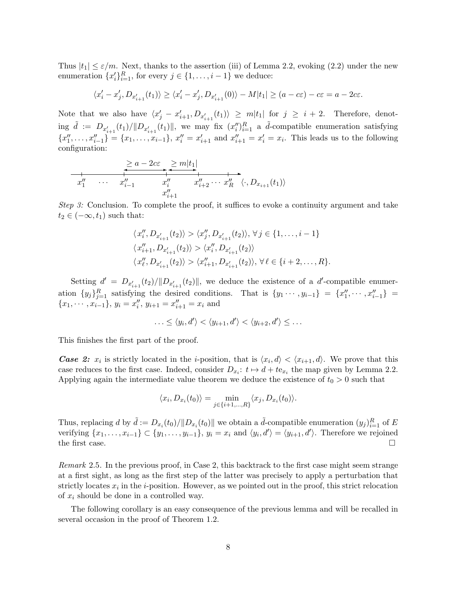Thus  $|t_1| \leq \varepsilon/m$ . Next, thanks to the assertion (iii) of Lemma 2.2, evoking (2.2) under the new enumeration  $\{x_i'\}_{i=1}^R$ , for every  $j \in \{1, \ldots, i-1\}$  we deduce:

$$
\langle x'_i - x'_j, D_{x'_{i+1}}(t_1) \rangle \ge \langle x'_i - x'_j, D_{x'_{i+1}}(0) \rangle - M|t_1| \ge (a - c\varepsilon) - c\varepsilon = a - 2c\varepsilon.
$$

Note that we also have  $\langle x'_j - x'_{i+1}, D_{x'_{i+1}}(t_1) \rangle \ge m|t_1|$  for  $j \ge i+2$ . Therefore, denoting  $\tilde{d} := D_{x'_{i+1}}(t_1)/||D_{x'_{i+1}}(t_1)||$ , we may fix  $(x''_i)_{i=1}^R$  a  $\tilde{d}$ -compatible enumeration satisfying  ${x''_1, \ldots, x''_{i-1}} = {x_1, \ldots, x_{i-1}}, x''_i = x'_{i+1}$  and  $x''_{i+1} = x'_i = x_i$ . This leads us to the following configuration:

$$
x_1'' \quad \cdots \quad x_{i-1}'' \quad x_i'' \quad x_{i+1}'' \quad \cdots \quad x_{i+1}''
$$

Step 3: Conclusion. To complete the proof, it suffices to evoke a continuity argument and take  $t_2 \in (-\infty, t_1)$  such that:

$$
\langle x''_i, D_{x'_{i+1}}(t_2) \rangle > \langle x''_j, D_{x'_{i+1}}(t_2) \rangle, \forall j \in \{1, ..., i-1\}
$$
  

$$
\langle x''_{i+1}, D_{x'_{i+1}}(t_2) \rangle > \langle x''_i, D_{x'_{i+1}}(t_2) \rangle
$$
  

$$
\langle x''_{\ell}, D_{x'_{i+1}}(t_2) \rangle > \langle x''_{i+1}, D_{x'_{i+1}}(t_2) \rangle, \forall \ell \in \{i+2, ..., R\}.
$$

Setting  $d' = D_{x'_{i+1}}(t_2)/||D_{x'_{i+1}}(t_2)||$ , we deduce the existence of a  $d'$ -compatible enumeration  $\{y_j\}_{j=1}^R$  satisfying the desired conditions. That is  $\{y_1 \cdots, y_{i-1}\} = \{x''_1, \cdots, x''_{i-1}\}$  ${x_1, \dots, x_{i-1}}$ ,  $y_i = x''_i$ ,  $y_{i+1} = x''_{i+1} = x_i$  and

$$
\ldots \leq \langle y_i, d' \rangle < \langle y_{i+1}, d' \rangle < \langle y_{i+2}, d' \rangle \leq \ldots
$$

This finishes the first part of the proof.

**Case 2:**  $x_i$  is strictly located in the *i*-position, that is  $\langle x_i, d \rangle < \langle x_{i+1}, d \rangle$ . We prove that this case reduces to the first case. Indeed, consider  $D_{x_i}: t \mapsto d + t e_{x_i}$  the map given by Lemma 2.2. Applying again the intermediate value theorem we deduce the existence of  $t_0 > 0$  such that

$$
\langle x_i, D_{x_i}(t_0) \rangle = \min_{j \in \{i+1,\dots,R\}} \langle x_j, D_{x_i}(t_0) \rangle.
$$

Thus, replacing d by  $\tilde{d} := D_{x_i}(t_0)/||D_{x_i}(t_0)||$  we obtain a  $\tilde{d}$ -compatible enumeration  $(y_j)_{i=1}^R$  of E verifying  $\{x_1, \ldots, x_{i-1}\} \subset \{y_1, \ldots, y_{i-1}\}, y_i = x_i \text{ and } \langle y_i, d' \rangle = \langle y_{i+1}, d' \rangle.$  Therefore we rejoined the first case.  $\Box$ 

Remark 2.5. In the previous proof, in Case 2, this backtrack to the first case might seem strange at a first sight, as long as the first step of the latter was precisely to apply a perturbation that strictly locates  $x_i$  in the *i*-position. However, as we pointed out in the proof, this strict relocation of  $x_i$  should be done in a controlled way.

The following corollary is an easy consequence of the previous lemma and will be recalled in several occasion in the proof of Theorem 1.2.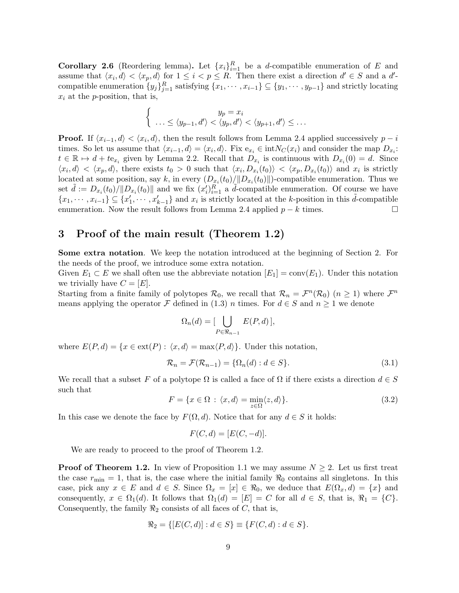**Corollary 2.6** (Reordering lemma). Let  $\{x_i\}_{i=1}^R$  be a *d*-compatible enumeration of E and assume that  $\langle x_i, d \rangle < \langle x_p, d \rangle$  for  $1 \leq i < p \leq R$ . Then there exist a direction  $d' \in S$  and a  $d'$ compatible enumeration  $\{y_j\}_{j=1}^R$  satisfying  $\{x_1, \dots, x_{i-1}\}\subseteq \{y_1, \dots, y_{p-1}\}\$  and strictly locating  $x_i$  at the *p*-position, that is,

$$
\begin{cases}\n y_p = x_i \\
 \dots \le \langle y_{p-1}, d' \rangle < \langle y_p, d' \rangle < \langle y_{p+1}, d' \rangle \le \dots\n\end{cases}
$$

**Proof.** If  $\langle x_{i-1}, d \rangle < \langle x_i, d \rangle$ , then the result follows from Lemma 2.4 applied successively  $p - i$ times. So let us assume that  $\langle x_{i-1}, d \rangle = \langle x_i, d \rangle$ . Fix  $e_{x_i} \in \text{int}N_C(x_i)$  and consider the map  $D_{x_i}$ :  $t \in \mathbb{R} \mapsto d + t e_{x_i}$  given by Lemma 2.2. Recall that  $D_{x_i}$  is continuous with  $D_{x_i}(0) = d$ . Since  $\langle x_i, d \rangle < \langle x_p, d \rangle$ , there exists  $t_0 > 0$  such that  $\langle x_i, D_{x_i}(t_0) \rangle < \langle x_p, D_{x_i}(t_0) \rangle$  and  $x_i$  is strictly located at some position, say k, in every  $(D_{x_i}(t_0)/||D_{x_i}(t_0)||)$ -compatible enumeration. Thus we set  $\tilde{d} := D_{x_i}(t_0)/||D_{x_i}(t_0)||$  and we fix  $(x_i')_{i=1}^R$  a  $\tilde{d}$ -compatible enumeration. Of course we have  $\{x_1, \dots, x_{i-1}\} \subseteq \{x'_1, \dots, x'_{k-1}\}\$ and  $x_i$  is strictly located at the k-position in this  $\tilde{d}$ -compatible enumeration. Now the result follows from Lemma 2.4 applied  $p - k$  times.

## 3 Proof of the main result (Theorem 1.2)

Some extra notation. We keep the notation introduced at the beginning of Section 2. For the needs of the proof, we introduce some extra notation.

Given  $E_1 \subset E$  we shall often use the abbreviate notation  $[E_1] = conv(E_1)$ . Under this notation we trivially have  $C = [E]$ .

Starting from a finite family of polytopes  $\mathcal{R}_0$ , we recall that  $\mathcal{R}_n = \mathcal{F}^n(\mathcal{R}_0)$   $(n \geq 1)$  where  $\mathcal{F}^n$ means applying the operator F defined in (1.3) n times. For  $d \in S$  and  $n \ge 1$  we denote

$$
\Omega_n(d) = \left[ \bigcup_{P \in \Re_{n-1}} E(P, d) \right],
$$

where  $E(P, d) = \{x \in \text{ext}(P) : \langle x, d \rangle = \max\langle P, d \rangle\}.$  Under this notation,

$$
\mathcal{R}_n = \mathcal{F}(\mathcal{R}_{n-1}) = \{ \Omega_n(d) : d \in S \}. \tag{3.1}
$$

We recall that a subset F of a polytope  $\Omega$  is called a face of  $\Omega$  if there exists a direction  $d \in S$ such that

$$
F = \{x \in \Omega : \langle x, d \rangle = \min_{z \in \Omega} \langle z, d \rangle\}.
$$
\n(3.2)

In this case we denote the face by  $F(\Omega, d)$ . Notice that for any  $d \in S$  it holds:

$$
F(C,d) = [E(C,-d)].
$$

We are ready to proceed to the proof of Theorem 1.2.

**Proof of Theorem 1.2.** In view of Proposition 1.1 we may assume  $N \geq 2$ . Let us first treat the case  $r_{\text{min}} = 1$ , that is, the case where the initial family  $\Re_0$  contains all singletons. In this case, pick any  $x \in E$  and  $d \in S$ . Since  $\Omega_x = [x] \in \Re_0$ , we deduce that  $E(\Omega_x, d) = \{x\}$  and consequently,  $x \in \Omega_1(d)$ . It follows that  $\Omega_1(d) = [E] = C$  for all  $d \in S$ , that is,  $\Re_1 = \{C\}$ . Consequently, the family  $\Re_2$  consists of all faces of C, that is,

$$
\mathcal{R}_2 = \{ [E(C, d)] : d \in S \} \equiv \{ F(C, d) : d \in S \}.
$$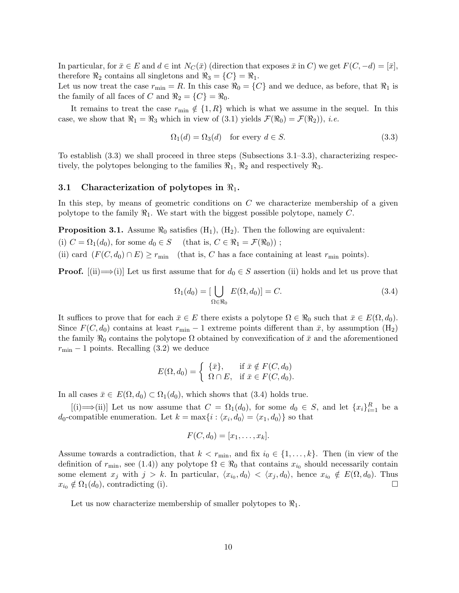In particular, for  $\bar{x} \in E$  and  $d \in \text{int } N_C(\bar{x})$  (direction that exposes  $\bar{x}$  in C) we get  $F(C, -d) = [\bar{x}]$ , therefore  $\Re_2$  contains all singletons and  $\Re_3 = \{C\} = \Re_1$ .

Let us now treat the case  $r_{\min} = R$ . In this case  $\Re_0 = \{C\}$  and we deduce, as before, that  $\Re_1$  is the family of all faces of C and  $\Re_2 = \{C\} = \Re_0$ .

It remains to treat the case  $r_{\min} \notin \{1, R\}$  which is what we assume in the sequel. In this case, we show that  $\Re_1 = \Re_3$  which in view of (3.1) yields  $\mathcal{F}(\Re_0) = \mathcal{F}(\Re_2)$ ), *i.e.* 

$$
\Omega_1(d) = \Omega_3(d) \quad \text{for every } d \in S. \tag{3.3}
$$

To establish (3.3) we shall proceed in three steps (Subsections 3.1–3.3), characterizing respectively, the polytopes belonging to the families  $\mathcal{R}_1$ ,  $\mathcal{R}_2$  and respectively  $\mathcal{R}_3$ .

#### 3.1 Characterization of polytopes in  $\mathbb{R}_1$ .

In this step, by means of geometric conditions on  $C$  we characterize membership of a given polytope to the family  $\mathcal{R}_1$ . We start with the biggest possible polytope, namely C.

**Proposition 3.1.** Assume  $\Re_0$  satisfies  $(H_1)$ ,  $(H_2)$ . Then the following are equivalent: (i)  $C = \Omega_1(d_0)$ , for some  $d_0 \in S$  (that is,  $C \in \Re_1 = \mathcal{F}(\Re_0)$ );

(ii) card  $(F(C, d_0) \cap E) \ge r_{\min}$  (that is, C has a face containing at least  $r_{\min}$  points).

**Proof.** [(ii)  $\implies$ (i)] Let us first assume that for  $d_0 \in S$  assertion (ii) holds and let us prove that

$$
\Omega_1(d_0) = \left[\bigcup_{\Omega \in \mathfrak{R}_0} E(\Omega, d_0)\right] = C. \tag{3.4}
$$

It suffices to prove that for each  $\bar{x} \in E$  there exists a polytope  $\Omega \in \mathcal{R}_0$  such that  $\bar{x} \in E(\Omega, d_0)$ . Since  $F(C, d_0)$  contains at least  $r_{\text{min}} - 1$  extreme points different than  $\bar{x}$ , by assumption (H<sub>2</sub>) the family  $\mathcal{R}_0$  contains the polytope  $\Omega$  obtained by convexification of  $\bar{x}$  and the aforementioned  $r_{\rm min} - 1$  points. Recalling (3.2) we deduce

$$
E(\Omega, d_0) = \begin{cases} \{\bar{x}\}, & \text{if } \bar{x} \notin F(C, d_0) \\ \Omega \cap E, & \text{if } \bar{x} \in F(C, d_0). \end{cases}
$$

In all cases  $\bar{x} \in E(\Omega, d_0) \subset \Omega_1(d_0)$ , which shows that (3.4) holds true.

 $[(i) \rightarrow (ii)]$  Let us now assume that  $C = \Omega_1(d_0)$ , for some  $d_0 \in S$ , and let  $\{x_i\}_{i=1}^R$  be a  $d_0$ -compatible enumeration. Let  $k = \max\{i : \langle x_i, d_0 \rangle = \langle x_1, d_0 \rangle\}$  so that

$$
F(C,d_0)=[x_1,\ldots,x_k].
$$

Assume towards a contradiction, that  $k < r_{\min}$ , and fix  $i_0 \in \{1, \ldots, k\}$ . Then (in view of the definition of  $r_{\min}$ , see (1.4)) any polytope  $\Omega \in \mathbb{R}_0$  that contains  $x_{i_0}$  should necessarily contain some element  $x_j$  with  $j > k$ . In particular,  $\langle x_{i_0}, d_0 \rangle < \langle x_j, d_0 \rangle$ , hence  $x_{i_0} \notin E(\Omega, d_0)$ . Thus  $x_{i0} \notin \Omega_1(d_0)$ , contradicting (i).

Let us now characterize membership of smaller polytopes to  $\Re_1$ .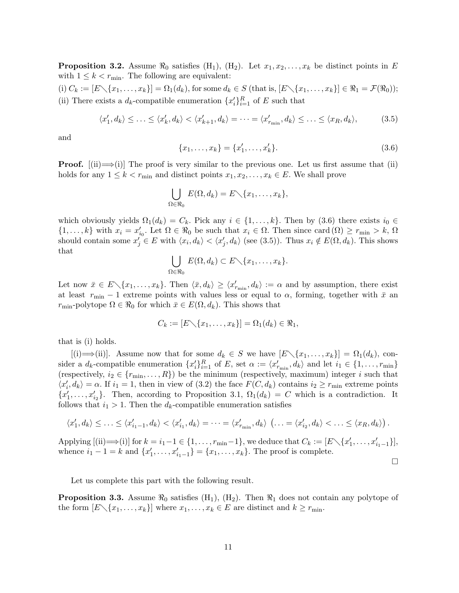**Proposition 3.2.** Assume  $\Re_0$  satisfies (H<sub>1</sub>), (H<sub>2</sub>). Let  $x_1, x_2, \ldots, x_k$  be distinct points in E with  $1 \leq k < r_{\min}$ . The following are equivalent:

(i)  $C_k := [E \setminus \{x_1, \ldots, x_k\}] = \Omega_1(d_k)$ , for some  $d_k \in S$  (that is,  $[E \setminus \{x_1, \ldots, x_k\}] \in \Re_1 = \mathcal{F}(\Re_0)$ ); (ii) There exists a  $d_k$ -compatible enumeration  $\{x_i'\}_{i=1}^R$  of E such that

$$
\langle x'_1, d_k \rangle \le \ldots \le \langle x'_k, d_k \rangle \langle x'_{k+1}, d_k \rangle = \cdots = \langle x'_{r_{\min}}, d_k \rangle \le \ldots \le \langle x_R, d_k \rangle, \tag{3.5}
$$

and

$$
\{x_1, \ldots, x_k\} = \{x'_1, \ldots, x'_k\}.
$$
\n(3.6)

 $\Box$ 

**Proof.**  $[(ii) \rightarrow (i)]$  The proof is very similar to the previous one. Let us first assume that  $(ii)$ holds for any  $1 \leq k < r_{\min}$  and distinct points  $x_1, x_2, \ldots, x_k \in E$ . We shall prove

$$
\bigcup_{\Omega \in \Re_0} E(\Omega, d_k) = E \setminus \{x_1, \dots, x_k\},\
$$

which obviously yields  $\Omega_1(d_k) = C_k$ . Pick any  $i \in \{1, \ldots, k\}$ . Then by (3.6) there exists  $i_0 \in$  $\{1,\ldots,k\}$  with  $x_i = x'_{i_0}$ . Let  $\Omega \in \Re_0$  be such that  $x_i \in \Omega$ . Then since card  $(\Omega) \geq r_{\min} > k$ ,  $\Omega$ should contain some  $x_j \in E$  with  $\langle x_i, d_k \rangle < \langle x_j', d_k \rangle$  (see (3.5)). Thus  $x_i \notin E(\Omega, d_k)$ . This shows that

$$
\bigcup_{\Omega \in \Re_0} E(\Omega, d_k) \subset E \diagdown \{x_1, \dots, x_k\}.
$$

Let now  $\bar{x} \in E \setminus \{x_1, \ldots, x_k\}$ . Then  $\langle \bar{x}, d_k \rangle \geq \langle x'_{r_{\min}}, d_k \rangle := \alpha$  and by assumption, there exist at least  $r_{\text{min}} - 1$  extreme points with values less or equal to  $\alpha$ , forming, together with  $\bar{x}$  and  $r_{\min}$ -polytope  $\Omega \in \mathbb{R}_0$  for which  $\bar{x} \in E(\Omega, d_k)$ . This shows that

$$
C_k := [E \setminus \{x_1, \ldots, x_k\}] = \Omega_1(d_k) \in \Re_1,
$$

that is (i) holds.

 $[(i) \longrightarrow (ii)]$ . Assume now that for some  $d_k \in S$  we have  $[E \setminus \{x_1, \ldots, x_k\}] = \Omega_1(d_k)$ , consider a  $d_k$ -compatible enumeration  $\{x_i'\}_{i=1}^R$  of E, set  $\alpha := \langle x'_{r_{\min}}, d_k \rangle$  and let  $i_1 \in \{1, \ldots, r_{\min}\}\$ (respectively,  $i_2 \in \{r_{\min}, \ldots, R\}$ ) be the minimum (respectively, maximum) integer i such that  $\langle x'_i, d_k \rangle = \alpha$ . If  $i_1 = 1$ , then in view of (3.2) the face  $F(C, d_k)$  contains  $i_2 \ge r_{\min}$  extreme points  $\{x'_1, \ldots, x'_{i_2}\}.$  Then, according to Proposition 3.1,  $\Omega_1(d_k) = C$  which is a contradiction. It follows that  $i_1 > 1$ . Then the  $d_k$ -compatible enumeration satisfies

$$
\langle x'_1, d_k \rangle \leq \ldots \leq \langle x'_{i_1-1}, d_k \rangle \langle x'_{i_1}, d_k \rangle = \cdots = \langle x'_{r_{\min}}, d_k \rangle \quad (\ldots = \langle x'_{i_2}, d_k \rangle \langle \ldots \leq \langle x_R, d_k \rangle).
$$

Applying  $[(ii) \rightarrow (i)]$  for  $k = i_1 - 1 \in \{1, \ldots, r_{\min} - 1\}$ , we deduce that  $C_k := [E \setminus \{x'_1, \ldots, x'_{i_1 - 1}\}]$ , whence  $i_1 - 1 = k$  and  $\{x'_1, \ldots, x'_{i_1-1}\} = \{x_1, \ldots, x_k\}$ . The proof is complete.

Let us complete this part with the following result.

**Proposition 3.3.** Assume  $\Re_0$  satisfies  $(H_1)$ ,  $(H_2)$ . Then  $\Re_1$  does not contain any polytope of the form  $[E\setminus\{x_1,\ldots,x_k\}]$  where  $x_1,\ldots,x_k\in E$  are distinct and  $k\geq r_{\min}$ .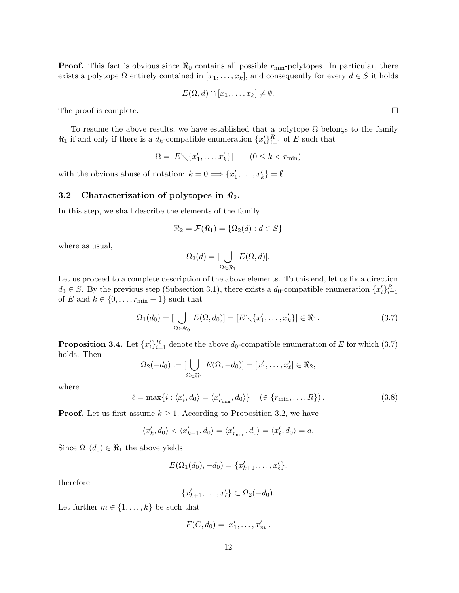**Proof.** This fact is obvious since  $\Re_0$  contains all possible  $r_{\min}$ -polytopes. In particular, there exists a polytope  $\Omega$  entirely contained in  $[x_1, \ldots, x_k]$ , and consequently for every  $d \in S$  it holds

$$
E(\Omega, d) \cap [x_1, \ldots, x_k] \neq \emptyset.
$$

The proof is complete.  $\Box$ 

To resume the above results, we have established that a polytope  $\Omega$  belongs to the family  $\Re_1$  if and only if there is a  $d_k$ -compatible enumeration  $\{x_i'\}_{i=1}^R$  of E such that

$$
\Omega = [E \setminus \{x'_1, \dots, x'_k\}] \qquad (0 \le k < r_{\min})
$$

with the obvious abuse of notation:  $k = 0 \Longrightarrow \{x'_1, \ldots, x'_k\} = \emptyset$ .

### 3.2 Characterization of polytopes in  $\mathbb{R}_2$ .

In this step, we shall describe the elements of the family

$$
\Re_2 = \mathcal{F}(\Re_1) = \{\Omega_2(d) : d \in S\}
$$

where as usual,

$$
\Omega_2(d) = [\bigcup_{\Omega \in \Re_1} E(\Omega, d)].
$$

Let us proceed to a complete description of the above elements. To this end, let us fix a direction  $d_0 \in S$ . By the previous step (Subsection 3.1), there exists a  $d_0$ -compatible enumeration  $\{x_i'\}_{i=1}^R$ of  $E$  and  $k \in \{0, \ldots, r_{\min}-1\}$  such that

$$
\Omega_1(d_0) = \left[\bigcup_{\Omega \in \mathfrak{R}_0} E(\Omega, d_0)\right] = \left[E \setminus \{x'_1, \dots, x'_k\}\right] \in \mathfrak{R}_1. \tag{3.7}
$$

**Proposition 3.4.** Let  $\{x_i'\}_{i=1}^R$  denote the above  $d_0$ -compatible enumeration of E for which (3.7) holds. Then

$$
\Omega_2(-d_0) := \left[\bigcup_{\Omega \in \mathfrak{R}_1} E(\Omega, -d_0)\right] = \left[x'_1, \dots, x'_{\ell}\right] \in \mathfrak{R}_2,
$$

where

$$
\ell = \max\{i : \langle x'_i, d_0 \rangle = \langle x'_{\min}, d_0 \rangle\} \quad (\in \{r_{\min}, \dots, R\}).
$$
\n(3.8)

**Proof.** Let us first assume  $k \geq 1$ . According to Proposition 3.2, we have

$$
\langle x'_k, d_0 \rangle \langle x'_{k+1}, d_0 \rangle = \langle x'_{r_{\min}}, d_0 \rangle = \langle x'_{\ell}, d_0 \rangle = a.
$$

Since  $\Omega_1(d_0) \in \Re_1$  the above yields

$$
E(\Omega_1(d_0), -d_0) = \{x'_{k+1}, \ldots, x'_{\ell}\},
$$

therefore

$$
\{x'_{k+1},\ldots,x'_\ell\} \subset \Omega_2(-d_0).
$$

Let further  $m \in \{1, \ldots, k\}$  be such that

$$
F(C,d_0)=[x'_1,\ldots,x'_m].
$$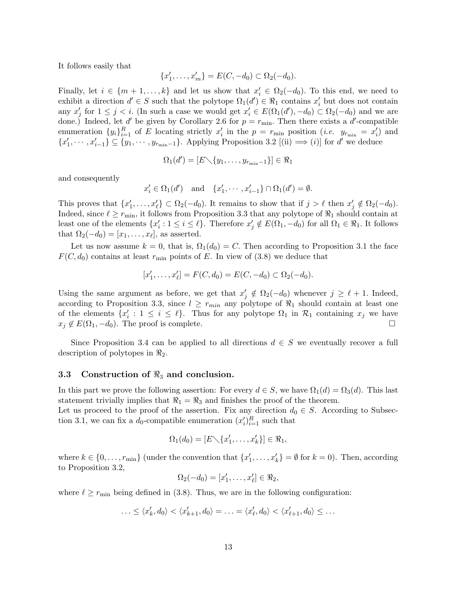It follows easily that

$$
\{x'_1, \ldots, x'_m\} = E(C, -d_0) \subset \Omega_2(-d_0).
$$

Finally, let  $i \in \{m+1,\ldots,k\}$  and let us show that  $x'_i \in \Omega_2(-d_0)$ . To this end, we need to exhibit a direction  $d' \in S$  such that the polytope  $\Omega_1(d') \in \mathcal{R}_1$  contains  $x'_i$  but does not contain any  $x'_j$  for  $1 \leq j < i$ . (In such a case we would get  $x'_i \in E(\Omega_1(d'), -d_0) \subset \Omega_2(-d_0)$  and we are done.) Indeed, let d' be given by Corollary 2.6 for  $p = r_{\text{min}}$ . Then there exists a d'-compatible enumeration  $\{y_i\}_{i=1}^R$  of E locating strictly  $x'_i$  in the  $p = r_{\min}$  position (*i.e.*  $y_{r_{\min}} = x'_i$ ) and  ${x'_1,\dots,x'_{i-1}}\subseteq {y_1,\dots,y_{r_{\min}-1}}$ . Applying Proposition 3.2 [(ii)  $\implies$  (i)] for d' we deduce

$$
\Omega_1(d') = [E \setminus \{y_1, \ldots, y_{r_{\min}-1}\}] \in \Re_1
$$

and consequently

$$
x'_{i} \in \Omega_{1}(d') \quad \text{and} \quad \{x'_{1}, \cdots, x'_{i-1}\} \cap \Omega_{1}(d') = \emptyset.
$$

This proves that  $\{x'_1, \ldots, x'_\ell\} \subset \Omega_2(-d_0)$ . It remains to show that if  $j > \ell$  then  $x'_j \notin \Omega_2(-d_0)$ . Indeed, since  $\ell \ge r_{\min}$ , it follows from Proposition 3.3 that any polytope of  $\Re_1$  should contain at least one of the elements  $\{x'_i : 1 \le i \le \ell\}$ . Therefore  $x'_j \notin E(\Omega_1, -d_0)$  for all  $\Omega_1 \in \Re_1$ . It follows that  $\Omega_2(-d_0) = [x_1, \ldots, x_\ell]$ , as asserted.

Let us now assume  $k = 0$ , that is,  $\Omega_1(d_0) = C$ . Then according to Proposition 3.1 the face  $F(C, d_0)$  contains at least  $r_{\text{min}}$  points of E. In view of (3.8) we deduce that

$$
[x'_1, \ldots, x'_{\ell}] = F(C, d_0) = E(C, -d_0) \subset \Omega_2(-d_0).
$$

Using the same argument as before, we get that  $x'_j \notin \Omega_2(-d_0)$  whenever  $j \geq \ell + 1$ . Indeed, according to Proposition 3.3, since  $l \geq r_{min}$  any polytope of  $\Re_1$  should contain at least one of the elements  $\{x'_i : 1 \le i \le \ell\}$ . Thus for any polytope  $\Omega_1$  in  $\mathcal{R}_1$  containing  $x_j$  we have  $x_j \notin E(\Omega_1, -d_0)$ . The proof is complete.

Since Proposition 3.4 can be applied to all directions  $d \in S$  we eventually recover a full description of polytopes in  $\mathcal{R}_2$ .

### 3.3 Construction of  $\Re_3$  and conclusion.

In this part we prove the following assertion: For every  $d \in S$ , we have  $\Omega_1(d) = \Omega_3(d)$ . This last statement trivially implies that  $\Re_1 = \Re_3$  and finishes the proof of the theorem.

Let us proceed to the proof of the assertion. Fix any direction  $d_0 \in S$ . According to Subsection 3.1, we can fix a  $d_0$ -compatible enumeration  $(x_i')_{i=1}^R$  such that

$$
\Omega_1(d_0) = [E \setminus \{x'_1, \ldots, x'_k\}] \in \Re_1,
$$

where  $k \in \{0, \ldots, r_{\min}\}\$  (under the convention that  $\{x'_1, \ldots, x'_k\} = \emptyset$  for  $k = 0$ ). Then, according to Proposition 3.2,

$$
\Omega_2(-d_0)=[x'_1,\ldots,x'_\ell]\in\Re_2,
$$

where  $\ell \ge r_{\min}$  being defined in (3.8). Thus, we are in the following configuration:

$$
\ldots \leq \langle x'_k, d_0 \rangle \langle x'_{k+1}, d_0 \rangle = \ldots = \langle x'_\ell, d_0 \rangle \langle x'_{\ell+1}, d_0 \rangle \leq \ldots
$$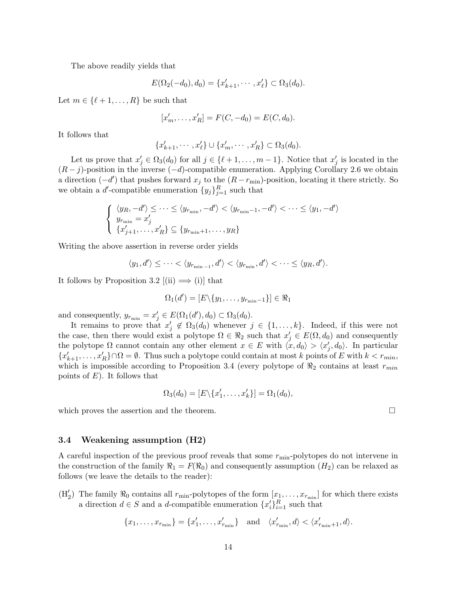The above readily yields that

$$
E(\Omega_2(-d_0), d_0) = \{x'_{k+1}, \cdots, x'_{\ell}\} \subset \Omega_3(d_0).
$$

Let  $m \in \{ \ell + 1, \ldots, R \}$  be such that

$$
[x'_m, \dots, x'_R] = F(C, -d_0) = E(C, d_0).
$$

It follows that

$$
\{x'_{k+1},\cdots,x'_\ell\}\cup\{x'_m,\cdots,x'_R\}\subset\Omega_3(d_0).
$$

Let us prove that  $x'_j \in \Omega_3(d_0)$  for all  $j \in \{\ell+1,\ldots,m-1\}$ . Notice that  $x'_j$  is located in the  $(R - j)$ -position in the inverse  $(-d)$ -compatible enumeration. Applying Corollary 2.6 we obtain a direction  $(-d')$  that pushes forward  $x_j$  to the  $(R - r_{\min})$ -position, locating it there strictly. So we obtain a d'-compatible enumeration  $\{y_j\}_{j=1}^R$  such that

$$
\begin{cases} \langle y_R, -d' \rangle \leq \dots \leq \langle y_{r_{\min}}, -d' \rangle < \langle y_{r_{\min}-1}, -d' \rangle < \dots \leq \langle y_1, -d' \rangle \\ y_{r_{\min}} = x'_j \\ \{x'_{j+1}, \dots, x'_R\} \subseteq \{y_{r_{\min}+1}, \dots, y_R\} \end{cases}
$$

Writing the above assertion in reverse order yields

$$
\langle y_1, d' \rangle \leq \cdots < \langle y_{r_{\min}-1}, d' \rangle < \langle y_{r_{\min}}, d' \rangle < \cdots \leq \langle y_R, d' \rangle.
$$

It follows by Proposition 3.2  $[(ii) \implies (i)]$  that

$$
\Omega_1(d') = [E \setminus \{y_1, \ldots, y_{r_{\min}-1}\}] \in \Re_1
$$

and consequently,  $y_{r_{\min}} = x'_j \in E(\Omega_1(d'), d_0) \subset \Omega_3(d_0)$ .

It remains to prove that  $x'_j \notin \Omega_3(d_0)$  whenever  $j \in \{1,\ldots,k\}$ . Indeed, if this were not the case, then there would exist a polytope  $\Omega \in \mathbb{R}_2$  such that  $x'_j \in E(\Omega, d_0)$  and consequently the polytope  $\Omega$  cannot contain any other element  $x \in E$  with  $\langle x, d_0 \rangle > \langle x'_j, d_0 \rangle$ . In particular  ${x'_{k+1}, \ldots, x'_{R}} \cap \Omega = \emptyset$ . Thus such a polytope could contain at most k points of E with  $k < r_{min}$ , which is impossible according to Proposition 3.4 (every polytope of  $\Re_2$  contains at least  $r_{min}$ points of  $E$ ). It follows that

$$
\Omega_3(d_0) = [E \setminus \{x'_1, \ldots, x'_k\}] = \Omega_1(d_0),
$$

which proves the assertion and the theorem.  $\Box$ 

### 3.4 Weakening assumption (H2)

A careful inspection of the previous proof reveals that some  $r_{\min}$ -polytopes do not intervene in the construction of the family  $\Re_1 = F(\Re_0)$  and consequently assumption  $(H_2)$  can be relaxed as follows (we leave the details to the reader):

 $(H'_2)$  The family  $\Re_0$  contains all  $r_{\min}$ -polytopes of the form  $[x_1, \ldots, x_{r_{\min}}]$  for which there exists a direction  $d \in S$  and a d-compatible enumeration  $\{x_i'\}_{i=1}^R$  such that

$$
\{x_1, \ldots, x_{r_{\min}}\} = \{x'_1, \ldots, x'_{r_{\min}}\} \quad \text{and} \quad \langle x'_{r_{\min}}, d \rangle < \langle x'_{r_{\min}+1}, d \rangle.
$$